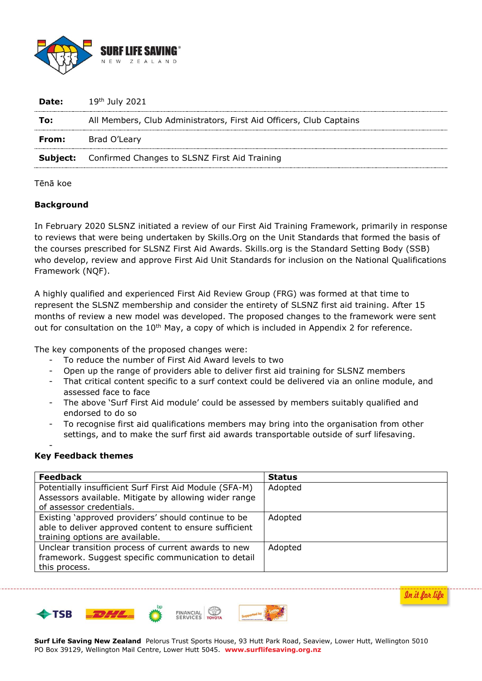

| Date: | 19 <sup>th</sup> July 2021                                          |
|-------|---------------------------------------------------------------------|
| To:   | All Members, Club Administrators, First Aid Officers, Club Captains |
|       | <b>From:</b> Brad O'Leary                                           |
|       | <b>Subject:</b> Confirmed Changes to SLSNZ First Aid Training       |
|       |                                                                     |

#### Tēnā koe

#### **Background**

In February 2020 SLSNZ initiated a review of our First Aid Training Framework, primarily in response to reviews that were being undertaken by Skills.Org on the Unit Standards that formed the basis of the courses prescribed for SLSNZ First Aid Awards. Skills.org is the Standard Setting Body (SSB) who develop, review and approve First Aid Unit Standards for inclusion on the National Qualifications Framework (NQF).

A highly qualified and experienced First Aid Review Group (FRG) was formed at that time to represent the SLSNZ membership and consider the entirety of SLSNZ first aid training. After 15 months of review a new model was developed. The proposed changes to the framework were sent out for consultation on the 10<sup>th</sup> May, a copy of which is included in Appendix 2 for reference.

The key components of the proposed changes were:

- To reduce the number of First Aid Award levels to two
- Open up the range of providers able to deliver first aid training for SLSNZ members
- That critical content specific to a surf context could be delivered via an online module, and assessed face to face
- The above 'Surf First Aid module' could be assessed by members suitably qualified and endorsed to do so
- To recognise first aid qualifications members may bring into the organisation from other settings, and to make the surf first aid awards transportable outside of surf lifesaving.

### **Key Feedback themes**

-

| <b>Feedback</b>                                        | <b>Status</b> |
|--------------------------------------------------------|---------------|
| Potentially insufficient Surf First Aid Module (SFA-M) | Adopted       |
| Assessors available. Mitigate by allowing wider range  |               |
| of assessor credentials.                               |               |
| Existing 'approved providers' should continue to be    | Adopted       |
| able to deliver approved content to ensure sufficient  |               |
| training options are available.                        |               |
| Unclear transition process of current awards to new    | Adopted       |
| framework. Suggest specific communication to detail    |               |
| this process.                                          |               |





**FINANCIAL**<br>SERVICES



**Surf Life Saving New Zealand** Pelorus Trust Sports House, 93 Hutt Park Road, Seaview, Lower Hutt, Wellington 5010 PO Box 39129, Wellington Mail Centre, Lower Hutt 5045. **www.surflifesaving.org.nz**

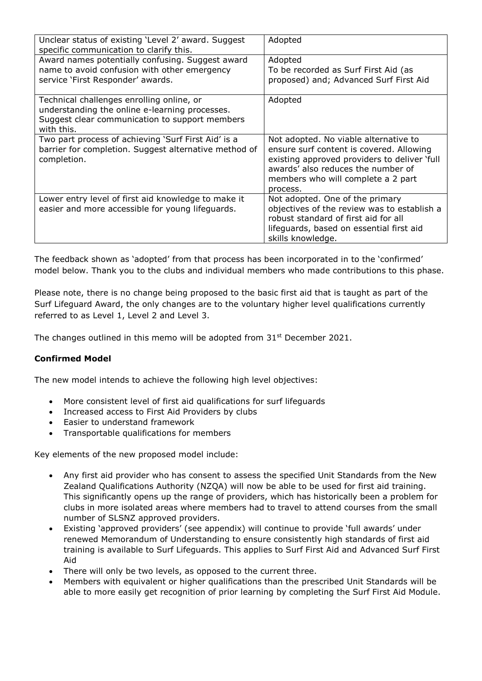| Unclear status of existing 'Level 2' award. Suggest<br>specific communication to clarify this.                                                              | Adopted                                                                                                                                                                                                                   |
|-------------------------------------------------------------------------------------------------------------------------------------------------------------|---------------------------------------------------------------------------------------------------------------------------------------------------------------------------------------------------------------------------|
| Award names potentially confusing. Suggest award<br>name to avoid confusion with other emergency<br>service 'First Responder' awards.                       | Adopted<br>To be recorded as Surf First Aid (as<br>proposed) and; Advanced Surf First Aid                                                                                                                                 |
| Technical challenges enrolling online, or<br>understanding the online e-learning processes.<br>Suggest clear communication to support members<br>with this. | Adopted                                                                                                                                                                                                                   |
| Two part process of achieving 'Surf First Aid' is a<br>barrier for completion. Suggest alternative method of<br>completion.                                 | Not adopted. No viable alternative to<br>ensure surf content is covered. Allowing<br>existing approved providers to deliver 'full<br>awards' also reduces the number of<br>members who will complete a 2 part<br>process. |
| Lower entry level of first aid knowledge to make it<br>easier and more accessible for young lifeguards.                                                     | Not adopted. One of the primary<br>objectives of the review was to establish a<br>robust standard of first aid for all<br>lifeguards, based on essential first aid<br>skills knowledge.                                   |

The feedback shown as 'adopted' from that process has been incorporated in to the 'confirmed' model below. Thank you to the clubs and individual members who made contributions to this phase.

Please note, there is no change being proposed to the basic first aid that is taught as part of the Surf Lifeguard Award, the only changes are to the voluntary higher level qualifications currently referred to as Level 1, Level 2 and Level 3.

The changes outlined in this memo will be adopted from  $31^{st}$  December 2021.

### **Confirmed Model**

The new model intends to achieve the following high level objectives:

- More consistent level of first aid qualifications for surf lifeguards
- Increased access to First Aid Providers by clubs
- Easier to understand framework
- Transportable qualifications for members

Key elements of the new proposed model include:

- Any first aid provider who has consent to assess the specified Unit Standards from the New Zealand Qualifications Authority (NZQA) will now be able to be used for first aid training. This significantly opens up the range of providers, which has historically been a problem for clubs in more isolated areas where members had to travel to attend courses from the small number of SLSNZ approved providers.
- Existing 'approved providers' (see appendix) will continue to provide 'full awards' under renewed Memorandum of Understanding to ensure consistently high standards of first aid training is available to Surf Lifeguards. This applies to Surf First Aid and Advanced Surf First Aid
- There will only be two levels, as opposed to the current three.
- Members with equivalent or higher qualifications than the prescribed Unit Standards will be able to more easily get recognition of prior learning by completing the Surf First Aid Module.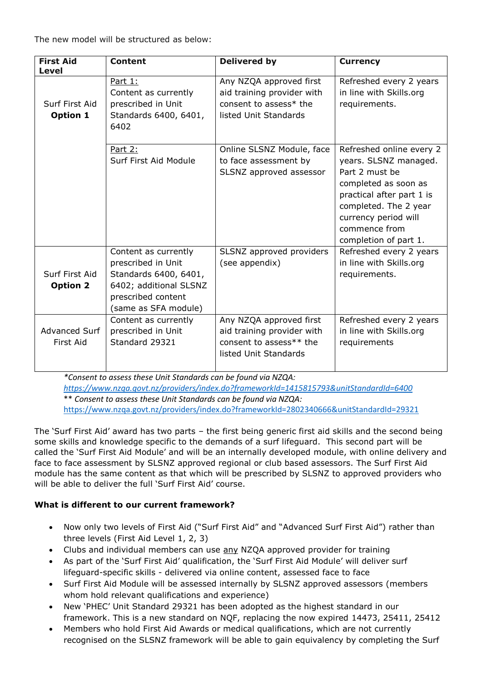The new model will be structured as below:

| <b>First Aid</b><br>Level         | <b>Content</b>                                                                                                                              | <b>Delivered by</b>                                                                                       | <b>Currency</b>                                                                                                                                                                                                     |
|-----------------------------------|---------------------------------------------------------------------------------------------------------------------------------------------|-----------------------------------------------------------------------------------------------------------|---------------------------------------------------------------------------------------------------------------------------------------------------------------------------------------------------------------------|
| Surf First Aid<br>Option 1        | Part 1:<br>Content as currently<br>prescribed in Unit<br>Standards 6400, 6401,<br>6402                                                      | Any NZQA approved first<br>aid training provider with<br>consent to assess* the<br>listed Unit Standards  | Refreshed every 2 years<br>in line with Skills.org<br>requirements.                                                                                                                                                 |
|                                   | Part 2:<br>Surf First Aid Module                                                                                                            | Online SLSNZ Module, face<br>to face assessment by<br>SLSNZ approved assessor                             | Refreshed online every 2<br>years. SLSNZ managed.<br>Part 2 must be<br>completed as soon as<br>practical after part 1 is<br>completed. The 2 year<br>currency period will<br>commence from<br>completion of part 1. |
| Surf First Aid<br><b>Option 2</b> | Content as currently<br>prescribed in Unit<br>Standards 6400, 6401,<br>6402; additional SLSNZ<br>prescribed content<br>(same as SFA module) | SLSNZ approved providers<br>(see appendix)                                                                | Refreshed every 2 years<br>in line with Skills.org<br>requirements.                                                                                                                                                 |
| <b>Advanced Surf</b><br>First Aid | Content as currently<br>prescribed in Unit<br>Standard 29321                                                                                | Any NZQA approved first<br>aid training provider with<br>consent to assess** the<br>listed Unit Standards | Refreshed every 2 years<br>in line with Skills.org<br>requirements                                                                                                                                                  |

*\*Consent to assess these Unit Standards can be found via NZQA:* 

*<https://www.nzqa.govt.nz/providers/index.do?frameworkId=1415815793&unitStandardId=6400>* \*\* *Consent to assess these Unit Standards can be found via NZQA:*

<https://www.nzqa.govt.nz/providers/index.do?frameworkId=2802340666&unitStandardId=29321>

The 'Surf First Aid' award has two parts – the first being generic first aid skills and the second being some skills and knowledge specific to the demands of a surf lifeguard. This second part will be called the 'Surf First Aid Module' and will be an internally developed module, with online delivery and face to face assessment by SLSNZ approved regional or club based assessors. The Surf First Aid module has the same content as that which will be prescribed by SLSNZ to approved providers who will be able to deliver the full 'Surf First Aid' course.

# **What is different to our current framework?**

- Now only two levels of First Aid ("Surf First Aid" and "Advanced Surf First Aid") rather than three levels (First Aid Level 1, 2, 3)
- Clubs and individual members can use any NZQA approved provider for training
- As part of the 'Surf First Aid' qualification, the 'Surf First Aid Module' will deliver surf lifeguard-specific skills - delivered via online content, assessed face to face
- Surf First Aid Module will be assessed internally by SLSNZ approved assessors (members whom hold relevant qualifications and experience)
- New 'PHEC' Unit Standard 29321 has been adopted as the highest standard in our framework. This is a new standard on NQF, replacing the now expired 14473, 25411, 25412
- Members who hold First Aid Awards or medical qualifications, which are not currently recognised on the SLSNZ framework will be able to gain equivalency by completing the Surf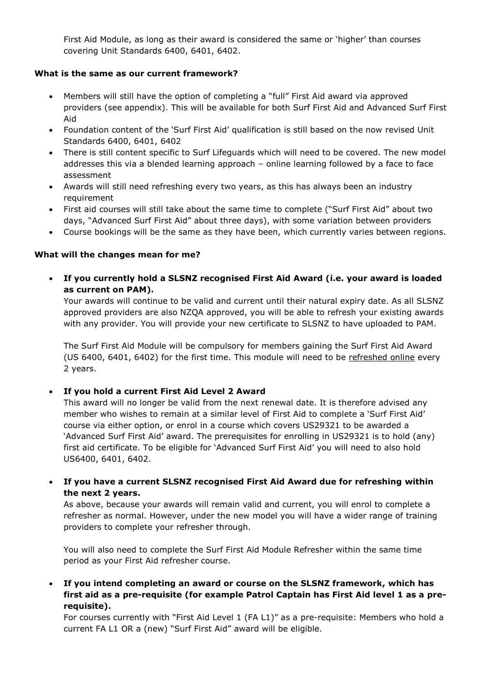First Aid Module, as long as their award is considered the same or 'higher' than courses covering Unit Standards 6400, 6401, 6402.

## **What is the same as our current framework?**

- Members will still have the option of completing a "full" First Aid award via approved providers (see appendix). This will be available for both Surf First Aid and Advanced Surf First Aid
- Foundation content of the 'Surf First Aid' qualification is still based on the now revised Unit Standards 6400, 6401, 6402
- There is still content specific to Surf Lifeguards which will need to be covered. The new model addresses this via a blended learning approach – online learning followed by a face to face assessment
- Awards will still need refreshing every two years, as this has always been an industry requirement
- First aid courses will still take about the same time to complete ("Surf First Aid" about two days, "Advanced Surf First Aid" about three days), with some variation between providers
- Course bookings will be the same as they have been, which currently varies between regions.

### **What will the changes mean for me?**

 **If you currently hold a SLSNZ recognised First Aid Award (i.e. your award is loaded as current on PAM).**

Your awards will continue to be valid and current until their natural expiry date. As all SLSNZ approved providers are also NZQA approved, you will be able to refresh your existing awards with any provider. You will provide your new certificate to SLSNZ to have uploaded to PAM.

The Surf First Aid Module will be compulsory for members gaining the Surf First Aid Award (US 6400, 6401, 6402) for the first time. This module will need to be refreshed online every 2 years.

### **If you hold a current First Aid Level 2 Award**

This award will no longer be valid from the next renewal date. It is therefore advised any member who wishes to remain at a similar level of First Aid to complete a 'Surf First Aid' course via either option, or enrol in a course which covers US29321 to be awarded a 'Advanced Surf First Aid' award. The prerequisites for enrolling in US29321 is to hold (any) first aid certificate. To be eligible for 'Advanced Surf First Aid' you will need to also hold US6400, 6401, 6402.

 **If you have a current SLSNZ recognised First Aid Award due for refreshing within the next 2 years.** 

As above, because your awards will remain valid and current, you will enrol to complete a refresher as normal. However, under the new model you will have a wider range of training providers to complete your refresher through.

You will also need to complete the Surf First Aid Module Refresher within the same time period as your First Aid refresher course.

 **If you intend completing an award or course on the SLSNZ framework, which has first aid as a pre-requisite (for example Patrol Captain has First Aid level 1 as a prerequisite).** 

For courses currently with "First Aid Level 1 (FA L1)" as a pre-requisite: Members who hold a current FA L1 OR a (new) "Surf First Aid" award will be eligible.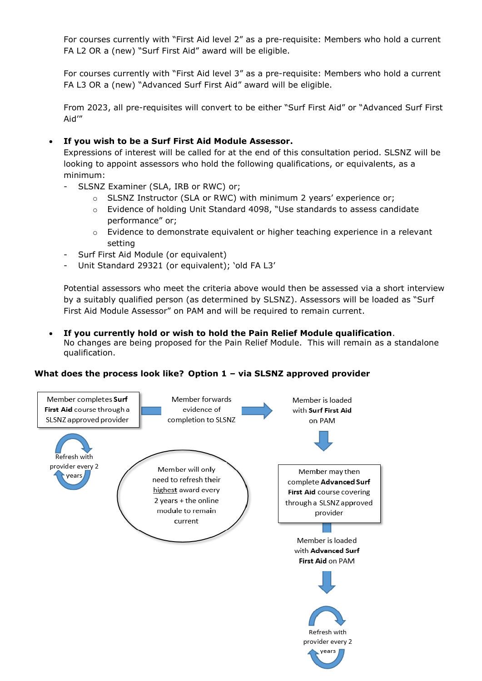For courses currently with "First Aid level 2" as a pre-requisite: Members who hold a current FA L2 OR a (new) "Surf First Aid" award will be eligible.

For courses currently with "First Aid level 3" as a pre-requisite: Members who hold a current FA L3 OR a (new) "Advanced Surf First Aid" award will be eligible.

From 2023, all pre-requisites will convert to be either "Surf First Aid" or "Advanced Surf First Aid'"

## **If you wish to be a Surf First Aid Module Assessor.**

Expressions of interest will be called for at the end of this consultation period. SLSNZ will be looking to appoint assessors who hold the following qualifications, or equivalents, as a minimum:

- SLSNZ Examiner (SLA, IRB or RWC) or;
	- o SLSNZ Instructor (SLA or RWC) with minimum 2 years' experience or;
	- o Evidence of holding Unit Standard 4098, "Use standards to assess candidate performance" or;
	- $\circ$  Evidence to demonstrate equivalent or higher teaching experience in a relevant setting
- Surf First Aid Module (or equivalent)
- Unit Standard 29321 (or equivalent); 'old FA L3'

Potential assessors who meet the criteria above would then be assessed via a short interview by a suitably qualified person (as determined by SLSNZ). Assessors will be loaded as "Surf First Aid Module Assessor" on PAM and will be required to remain current.

 **If you currently hold or wish to hold the Pain Relief Module qualification**. No changes are being proposed for the Pain Relief Module. This will remain as a standalone qualification.

### **What does the process look like? Option 1 – via SLSNZ approved provider**

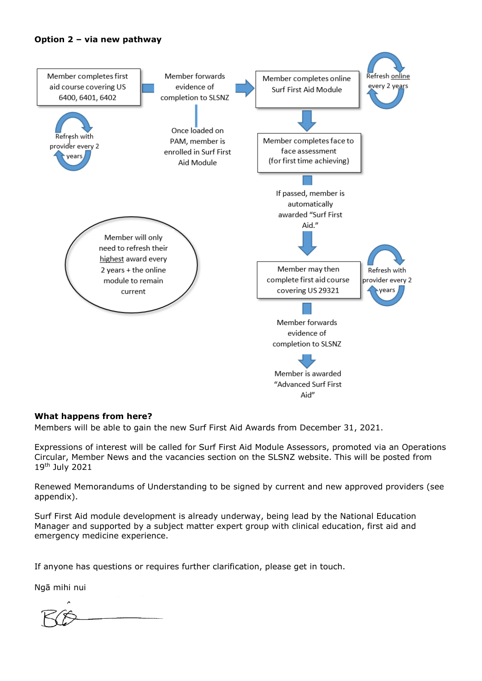#### **Option 2 – via new pathway**



#### **What happens from here?**

Members will be able to gain the new Surf First Aid Awards from December 31, 2021.

Expressions of interest will be called for Surf First Aid Module Assessors, promoted via an Operations Circular, Member News and the vacancies section on the SLSNZ website. This will be posted from 19th July 2021

Renewed Memorandums of Understanding to be signed by current and new approved providers (see appendix).

Surf First Aid module development is already underway, being lead by the National Education Manager and supported by a subject matter expert group with clinical education, first aid and emergency medicine experience.

If anyone has questions or requires further clarification, please get in touch.

Ngā mihi nui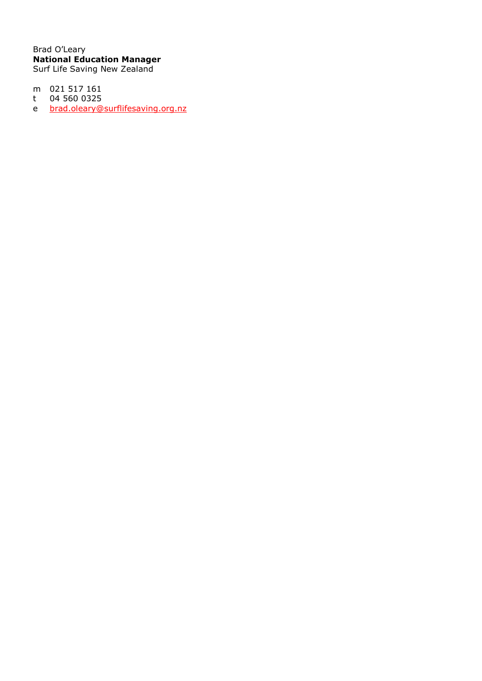Brad O'Leary **National Education Manager** Surf Life Saving New Zealand

- m 021 517 161 04 560 0325
- $t$ e brad.oleary@surflifesaving.org.nz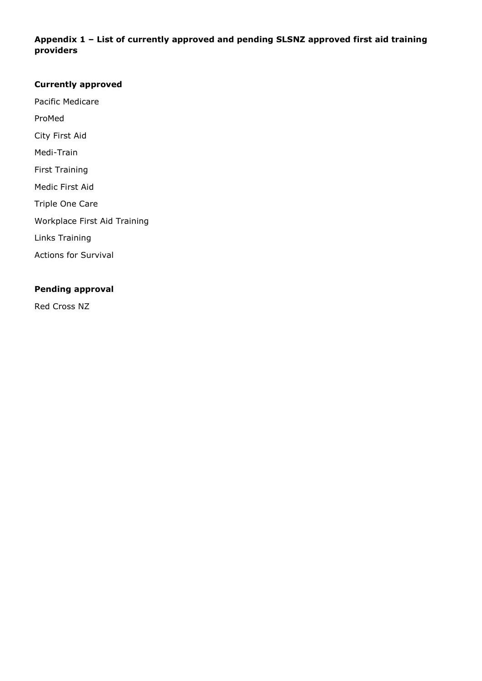# **Appendix 1 – List of currently approved and pending SLSNZ approved first aid training providers**

### **Currently approved**

Pacific Medicare

ProMed

City First Aid

Medi-Train

First Training

Medic First Aid

Triple One Care

Workplace First Aid Training

Links Training

Actions for Survival

## **Pending approval**

Red Cross NZ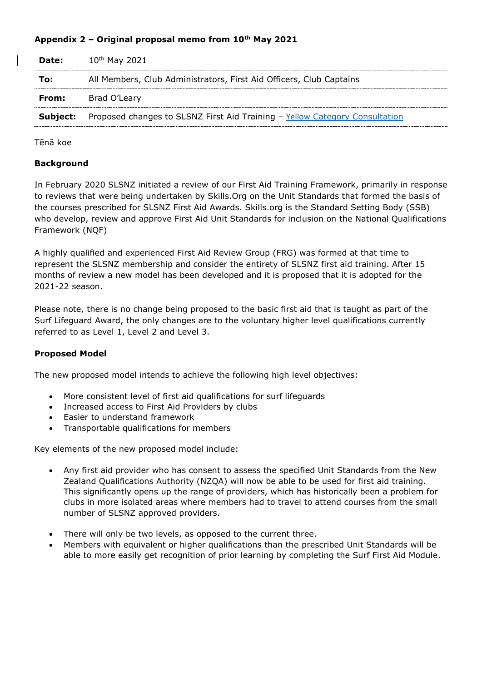## **Appendix 2 – Original proposal memo from 10th May 2021**

| Date: | $10^{th}$ May 2021                                                                          |
|-------|---------------------------------------------------------------------------------------------|
| То:   | All Members, Club Administrators, First Aid Officers, Club Captains                         |
| From: | Brad O'Leary                                                                                |
|       | <b>Subject:</b> Proposed changes to SLSNZ First Aid Training - Yellow Category Consultation |

Tēnā koe

#### **Background**

In February 2020 SLSNZ initiated a review of our First Aid Training Framework, primarily in response to reviews that were being undertaken by Skills.Org on the Unit Standards that formed the basis of the courses prescribed for SLSNZ First Aid Awards. Skills.org is the Standard Setting Body (SSB) who develop, review and approve First Aid Unit Standards for inclusion on the National Qualifications Framework (NQF)

A highly qualified and experienced First Aid Review Group (FRG) was formed at that time to represent the SLSNZ membership and consider the entirety of SLSNZ first aid training. After 15 months of review a new model has been developed and it is proposed that it is adopted for the 2021-22 season.

Please note, there is no change being proposed to the basic first aid that is taught as part of the Surf Lifeguard Award, the only changes are to the voluntary higher level qualifications currently referred to as Level 1, Level 2 and Level 3.

### **Proposed Model**

The new proposed model intends to achieve the following high level objectives:

- More consistent level of first aid qualifications for surf lifeguards
- Increased access to First Aid Providers by clubs
- Easier to understand framework
- Transportable qualifications for members

Key elements of the new proposed model include:

- Any first aid provider who has consent to assess the specified Unit Standards from the New Zealand Qualifications Authority (NZQA) will now be able to be used for first aid training. This significantly opens up the range of providers, which has historically been a problem for clubs in more isolated areas where members had to travel to attend courses from the small number of SLSNZ approved providers.
- There will only be two levels, as opposed to the current three.
- Members with equivalent or higher qualifications than the prescribed Unit Standards will be able to more easily get recognition of prior learning by completing the Surf First Aid Module.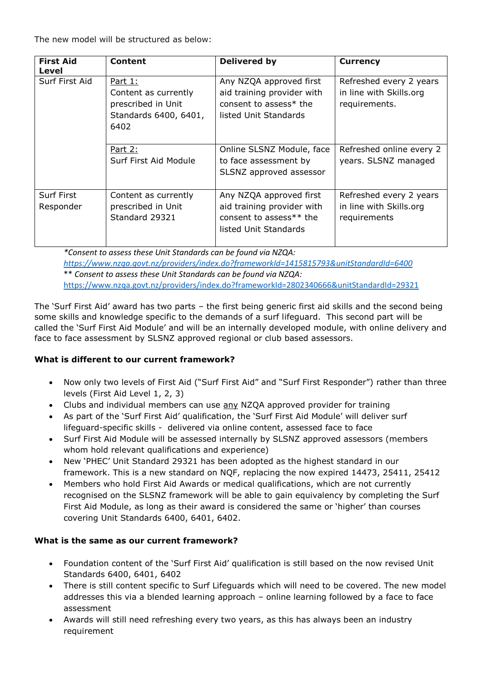The new model will be structured as below:

| <b>First Aid</b><br>Level      | <b>Content</b>                                                                         | <b>Delivered by</b>                                                                                          | <b>Currency</b>                                                     |
|--------------------------------|----------------------------------------------------------------------------------------|--------------------------------------------------------------------------------------------------------------|---------------------------------------------------------------------|
| Surf First Aid                 | Part 1:<br>Content as currently<br>prescribed in Unit<br>Standards 6400, 6401,<br>6402 | Any NZQA approved first<br>aid training provider with<br>consent to assess* the<br>listed Unit Standards     | Refreshed every 2 years<br>in line with Skills.org<br>requirements. |
|                                | Part 2:<br>Surf First Aid Module                                                       | Online SLSNZ Module, face<br>to face assessment by<br>SLSNZ approved assessor                                | Refreshed online every 2<br>years. SLSNZ managed                    |
| <b>Surf First</b><br>Responder | Content as currently<br>prescribed in Unit<br>Standard 29321                           | Any NZQA approved first<br>aid training provider with<br>consent to assess $**$ the<br>listed Unit Standards | Refreshed every 2 years<br>in line with Skills.org<br>requirements  |

*\*Consent to assess these Unit Standards can be found via NZQA: <https://www.nzqa.govt.nz/providers/index.do?frameworkId=1415815793&unitStandardId=6400>* \*\* *Consent to assess these Unit Standards can be found via NZQA:* <https://www.nzqa.govt.nz/providers/index.do?frameworkId=2802340666&unitStandardId=29321>

The 'Surf First Aid' award has two parts – the first being generic first aid skills and the second being some skills and knowledge specific to the demands of a surf lifeguard. This second part will be called the 'Surf First Aid Module' and will be an internally developed module, with online delivery and face to face assessment by SLSNZ approved regional or club based assessors.

# **What is different to our current framework?**

- Now only two levels of First Aid ("Surf First Aid" and "Surf First Responder") rather than three levels (First Aid Level 1, 2, 3)
- Clubs and individual members can use any NZQA approved provider for training
- As part of the 'Surf First Aid' qualification, the 'Surf First Aid Module' will deliver surf lifeguard-specific skills - delivered via online content, assessed face to face
- Surf First Aid Module will be assessed internally by SLSNZ approved assessors (members whom hold relevant qualifications and experience)
- New 'PHEC' Unit Standard 29321 has been adopted as the highest standard in our framework. This is a new standard on NQF, replacing the now expired 14473, 25411, 25412
- Members who hold First Aid Awards or medical qualifications, which are not currently recognised on the SLSNZ framework will be able to gain equivalency by completing the Surf First Aid Module, as long as their award is considered the same or 'higher' than courses covering Unit Standards 6400, 6401, 6402.

# **What is the same as our current framework?**

- Foundation content of the 'Surf First Aid' qualification is still based on the now revised Unit Standards 6400, 6401, 6402
- There is still content specific to Surf Lifeguards which will need to be covered. The new model addresses this via a blended learning approach – online learning followed by a face to face assessment
- Awards will still need refreshing every two years, as this has always been an industry requirement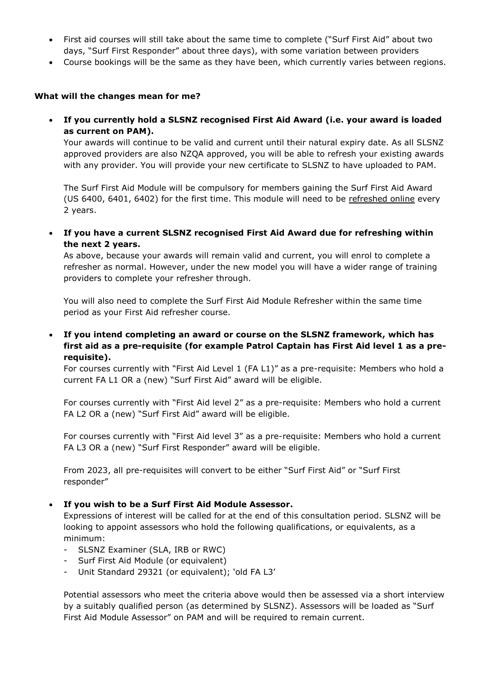- First aid courses will still take about the same time to complete ("Surf First Aid" about two days, "Surf First Responder" about three days), with some variation between providers
- Course bookings will be the same as they have been, which currently varies between regions.

#### **What will the changes mean for me?**

 **If you currently hold a SLSNZ recognised First Aid Award (i.e. your award is loaded as current on PAM).**

Your awards will continue to be valid and current until their natural expiry date. As all SLSNZ approved providers are also NZQA approved, you will be able to refresh your existing awards with any provider. You will provide your new certificate to SLSNZ to have uploaded to PAM.

The Surf First Aid Module will be compulsory for members gaining the Surf First Aid Award (US 6400, 6401, 6402) for the first time. This module will need to be refreshed online every 2 years.

 **If you have a current SLSNZ recognised First Aid Award due for refreshing within the next 2 years.** 

As above, because your awards will remain valid and current, you will enrol to complete a refresher as normal. However, under the new model you will have a wider range of training providers to complete your refresher through.

You will also need to complete the Surf First Aid Module Refresher within the same time period as your First Aid refresher course.

 **If you intend completing an award or course on the SLSNZ framework, which has first aid as a pre-requisite (for example Patrol Captain has First Aid level 1 as a prerequisite).** 

For courses currently with "First Aid Level 1 (FA L1)" as a pre-requisite: Members who hold a current FA L1 OR a (new) "Surf First Aid" award will be eligible.

For courses currently with "First Aid level 2" as a pre-requisite: Members who hold a current FA L2 OR a (new) "Surf First Aid" award will be eligible.

For courses currently with "First Aid level 3" as a pre-requisite: Members who hold a current FA L3 OR a (new) "Surf First Responder" award will be eligible.

From 2023, all pre-requisites will convert to be either "Surf First Aid" or "Surf First responder"

#### **If you wish to be a Surf First Aid Module Assessor.**

Expressions of interest will be called for at the end of this consultation period. SLSNZ will be looking to appoint assessors who hold the following qualifications, or equivalents, as a minimum:

- SLSNZ Examiner (SLA, IRB or RWC)
- Surf First Aid Module (or equivalent)
- Unit Standard 29321 (or equivalent); 'old FA L3'

Potential assessors who meet the criteria above would then be assessed via a short interview by a suitably qualified person (as determined by SLSNZ). Assessors will be loaded as "Surf First Aid Module Assessor" on PAM and will be required to remain current.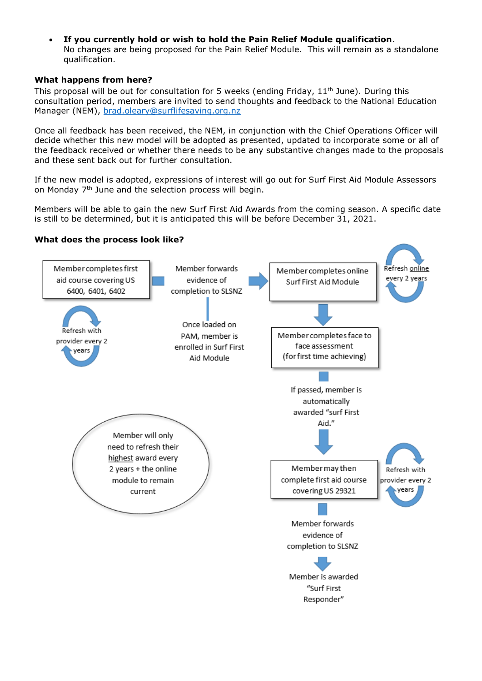**If you currently hold or wish to hold the Pain Relief Module qualification**. No changes are being proposed for the Pain Relief Module. This will remain as a standalone qualification.

### **What happens from here?**

This proposal will be out for consultation for 5 weeks (ending Friday,  $11<sup>th</sup>$  June). During this consultation period, members are invited to send thoughts and feedback to the National Education Manager (NEM), [brad.oleary@surflifesaving.org.nz](mailto:brad.oleary@surflifesaving.org.nz)

Once all feedback has been received, the NEM, in conjunction with the Chief Operations Officer will decide whether this new model will be adopted as presented, updated to incorporate some or all of the feedback received or whether there needs to be any substantive changes made to the proposals and these sent back out for further consultation.

If the new model is adopted, expressions of interest will go out for Surf First Aid Module Assessors on Monday 7<sup>th</sup> June and the selection process will begin.

Members will be able to gain the new Surf First Aid Awards from the coming season. A specific date is still to be determined, but it is anticipated this will be before December 31, 2021.

### **What does the process look like?**